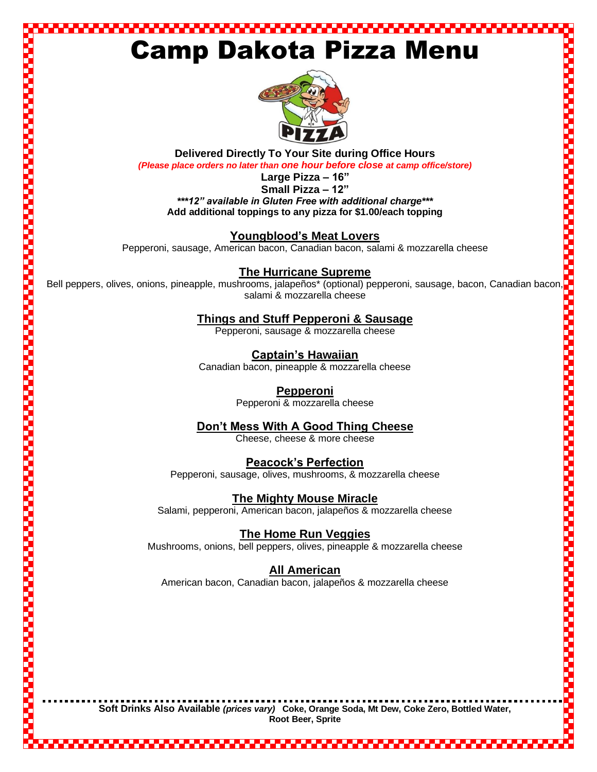### ,,,,,,,,,,,,,,,,,, Camp Dakota Pizza Menu



**Delivered Directly To Your Site during Office Hours**  *(Please place orders no later than one hour before close at camp office/store)* 

**Large Pizza – 16"**

**Small Pizza – 12"** *\*\*\*12" available in Gluten Free with additional charge\*\*\** **Add additional toppings to any pizza for \$1.00/each topping**

**Youngblood's Meat Lovers** 

Pepperoni, sausage, American bacon, Canadian bacon, salami & mozzarella cheese

**The Hurricane Supreme**

Small Pizza – 12"<br>
Small Pizza – 12"<br>
Add additional chepings to any pizza for \$1.00/each topping<br>
Montgblood's Meat Lovers<br>
Pepperoni, sausage, American bacon, Canadian bacon, salami & mozzarella cheese<br>
The Hurricane Sup salami & mozzarella cheese

**Things and Stuff Pepperoni & Sausage**

Pepperoni, sausage & mozzarella cheese

**Captain's Hawaiian**  Canadian bacon, pineapple & mozzarella cheese

#### **Pepperoni**

Pepperoni & mozzarella cheese

#### **Don't Mess With A Good Thing Cheese**

Cheese, cheese & more cheese

#### **Peacock's Perfection**

Pepperoni, sausage, olives, mushrooms, & mozzarella cheese

#### **The Mighty Mouse Miracle**

Salami, pepperoni, American bacon, jalapeños & mozzarella cheese

#### **The Home Run Veggies**

Mushrooms, onions, bell peppers, olives, pineapple & mozzarella cheese

#### **All American**

American bacon, Canadian bacon, jalapeños & mozzarella cheese

**Soft Drinks Also Available** *(prices vary)* **Coke, Orange Soda, Mt Dew, Coke Zero, Bottled Water, Root Beer, Sprite**

an mana

,,,,,,,,,,,,,,,,,,,,,,,,,,